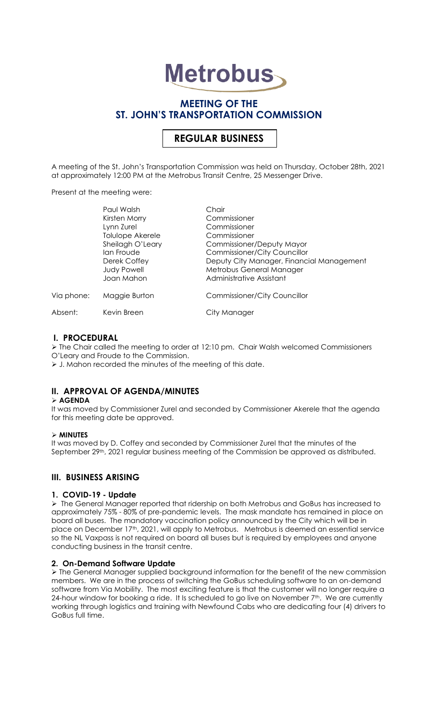# **Metrobus**

# **MEETING OF THE ST. JOHN'S TRANSPORTATION COMMISSION**

# **REGULAR BUSINESS**

A meeting of the St. John's Transportation Commission was held on Thursday, October 28th, 2021 at approximately 12:00 PM at the Metrobus Transit Centre, 25 Messenger Drive.

Present at the meeting were:

|            | Paul Walsh                                       | Chair                                                                                             |
|------------|--------------------------------------------------|---------------------------------------------------------------------------------------------------|
|            | Kirsten Morry                                    | Commissioner                                                                                      |
|            | Lynn Zurel                                       | Commissioner                                                                                      |
|            | Tolulope Akerele                                 | Commissioner                                                                                      |
|            | Sheilagh O'Leary                                 | Commissioner/Deputy Mayor                                                                         |
|            | lan Froude                                       | <b>Commissioner/City Councillor</b>                                                               |
|            | Derek Coffey<br><b>Judy Powell</b><br>Joan Mahon | Deputy City Manager, Financial Management<br>Metrobus General Manager<br>Administrative Assistant |
| Via phone: | Maggie Burton                                    | <b>Commissioner/City Councillor</b>                                                               |
| Absent:    | Kevin Breen                                      | City Manager                                                                                      |
|            |                                                  |                                                                                                   |

# **I. PROCEDURAL**

➢ The Chair called the meeting to order at 12:10 pm. Chair Walsh welcomed Commissioners O'Leary and Froude to the Commission.

➢ J. Mahon recorded the minutes of the meeting of this date.

# **II. APPROVAL OF AGENDA/MINUTES**

## ➢ **AGENDA**

It was moved by Commissioner Zurel and seconded by Commissioner Akerele that the agenda for this meeting date be approved.

## ➢ **MINUTES**

It was moved by D. Coffey and seconded by Commissioner Zurel that the minutes of the September 29<sup>th</sup>, 2021 regular business meeting of the Commission be approved as distributed.

# **III. BUSINESS ARISING**

# **1. COVID-19 - Update**

➢ The General Manager reported that ridership on both Metrobus and GoBus has increased to approximately 75% - 80% of pre-pandemic levels. The mask mandate has remained in place on board all buses. The mandatory vaccination policy announced by the City which will be in place on December 17th, 2021, will apply to Metrobus. Metrobus is deemed an essential service so the NL Vaxpass is not required on board all buses but is required by employees and anyone conducting business in the transit centre.

## **2. On-Demand Software Update**

➢ The General Manager supplied background information for the benefit of the new commission members. We are in the process of switching the GoBus scheduling software to an on-demand software from Via Mobility. The most exciting feature is that the customer will no longer require a 24-hour window for booking a ride. It Is scheduled to go live on November 7<sup>th</sup>. We are currently working through logistics and training with Newfound Cabs who are dedicating four (4) drivers to GoBus full time.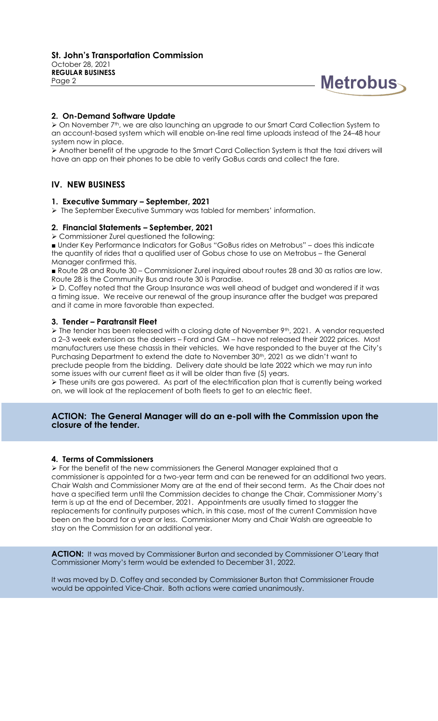

### **2. On-Demand Software Update**

➢ On November 7th, we are also launching an upgrade to our Smart Card Collection System to an account-based system which will enable on-line real time uploads instead of the 24–48 hour system now in place.

➢ Another benefit of the upgrade to the Smart Card Collection System is that the taxi drivers will have an app on their phones to be able to verify GoBus cards and collect the fare.

# **IV. NEW BUSINESS**

#### **1. Executive Summary – September, 2021**

➢ The September Executive Summary was tabled for members' information.

#### **2. Financial Statements – September, 2021**

➢ Commissioner Zurel questioned the following:

■ Under Key Performance Indicators for GoBus "GoBus rides on Metrobus" – does this indicate the quantity of rides that a qualified user of Gobus chose to use on Metrobus – the General Manager confirmed this.

■ Route 28 and Route 30 – Commissioner Zurel inquired about routes 28 and 30 as ratios are low. Route 28 is the Community Bus and route 30 is Paradise.

➢ D. Coffey noted that the Group Insurance was well ahead of budget and wondered if it was a timing issue. We receive our renewal of the group insurance after the budget was prepared and it came in more favorable than expected.

#### **3. Tender – Paratransit Fleet**

➢ The tender has been released with a closing date of November 9th, 2021. A vendor requested a 2–3 week extension as the dealers – Ford and GM – have not released their 2022 prices. Most manufacturers use these chassis in their vehicles. We have responded to the buyer at the City's Purchasing Department to extend the date to November 30<sup>th</sup>, 2021 as we didn't want to preclude people from the bidding. Delivery date should be late 2022 which we may run into some issues with our current fleet as it will be older than five (5) years.

➢ These units are gas powered. As part of the electrification plan that is currently being worked on, we will look at the replacement of both fleets to get to an electric fleet.

#### **ACTION: The General Manager will do an e-poll with the Commission upon the closure of the tender.**

#### **4. Terms of Commissioners**

➢ For the benefit of the new commissioners the General Manager explained that a commissioner is appointed for a two-year term and can be renewed for an additional two years. Chair Walsh and Commissioner Morry are at the end of their second term. As the Chair does not have a specified term until the Commission decides to change the Chair, Commissioner Morry's term is up at the end of December, 2021. Appointments are usually timed to stagger the replacements for continuity purposes which, in this case, most of the current Commission have been on the board for a year or less. Commissioner Morry and Chair Walsh are agreeable to stay on the Commission for an additional year.

**ACTION:** It was moved by Commissioner Burton and seconded by Commissioner O'Leary that Commissioner Morry's term would be extended to December 31, 2022.

It was moved by D. Coffey and seconded by Commissioner Burton that Commissioner Froude would be appointed Vice-Chair. Both actions were carried unanimously.